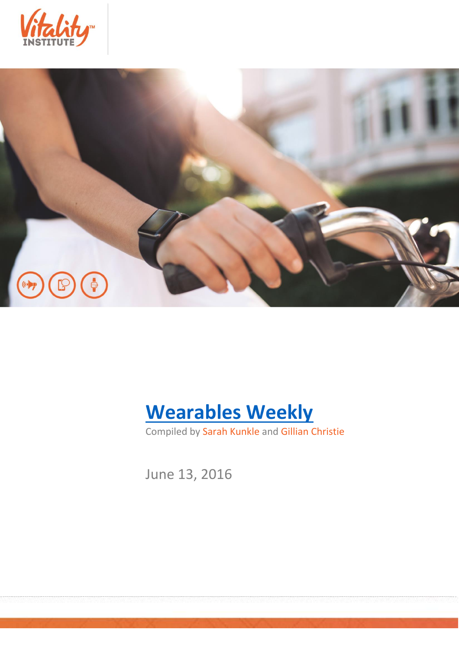





Compiled by Sarah Kunkle and Gillian Christie

June 13, 2016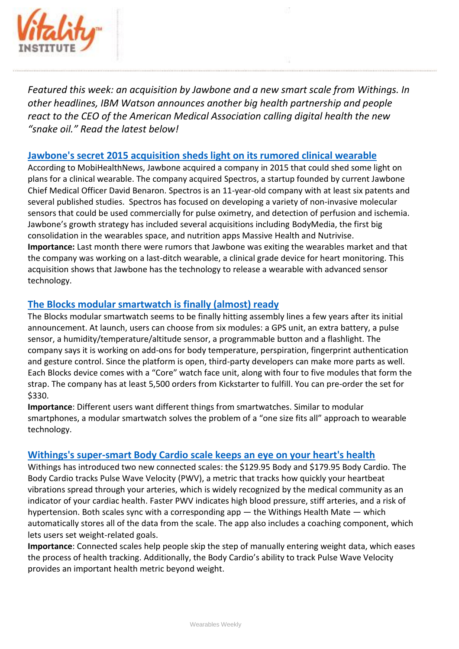

*Featured this week: an acquisition by Jawbone and a new smart scale from Withings. In other headlines, IBM Watson announces another big health partnership and people react to the CEO of the American Medical Association calling digital health the new "snake oil." Read the latest below!*

## **[Jawbone's secret 2015 acquisition sheds light on its rumored clinical wearable](http://mobihealthnews.com/content/jawbones-secret-2015-acquisition-sheds-light-its-rumored-clinical-wearable)**

According to MobiHealthNews, Jawbone acquired a company in 2015 that could shed some light on plans for a clinical wearable. The company acquired Spectros, a startup founded by current Jawbone Chief Medical Officer David Benaron. Spectros is an 11-year-old company with at least six patents and several published studies. Spectros has focused on developing a variety of non-invasive molecular sensors that could be used commercially for pulse oximetry, and detection of perfusion and ischemia. Jawbone's growth strategy has included several acquisitions including BodyMedia, the first big consolidation in the wearables space, and nutrition apps Massive Health and Nutrivise. **Importance:** Last month there were rumors that Jawbone was exiting the wearables market and that the company was working on a last-ditch wearable, a clinical grade device for heart monitoring. This acquisition shows that Jawbone has the technology to release a wearable with advanced sensor technology.

## **[The Blocks modular smartwatch is finally \(almost\) ready](http://www.engadget.stfi.re/2016/06/09/blocks-modular-smartwatch-final-prototype/?sf=zovozjl#aa)**

The Blocks modular smartwatch seems to be finally hitting assembly lines a few years after its initial announcement. At launch, users can choose from six modules: a GPS unit, an extra battery, a pulse sensor, a humidity/temperature/altitude sensor, a programmable button and a flashlight. The company says it is working on add-ons for body temperature, perspiration, fingerprint authentication and gesture control. Since the platform is open, third-party developers can make more parts as well. Each Blocks device comes with a "Core" watch face unit, along with four to five modules that form the strap. The company has at least 5,500 orders from Kickstarter to fulfill. You can pre-order the set for \$330.

**Importance**: Different users want different things from smartwatches. Similar to modular smartphones, a modular smartwatch solves the problem of a "one size fits all" approach to wearable technology.

## **[Withings's super-smart Body Cardio scale keeps an eye on your heart's health](http://www.theverge.com/2016/6/8/11878156/withings-body-cardio-scale-review-app-pulse-wave-velocity)**

Withings has introduced two new connected scales: the \$129.95 Body and \$179.95 Body Cardio. The Body Cardio tracks Pulse Wave Velocity (PWV), a metric that tracks how quickly your heartbeat vibrations spread through your arteries, which is widely recognized by the medical community as an indicator of your cardiac health. Faster PWV indicates high blood pressure, stiff arteries, and a risk of hypertension. Both scales sync with a corresponding app — the Withings Health Mate — which automatically stores all of the data from the scale. The app also includes a coaching component, which lets users set weight-related goals.

**Importance**: Connected scales help people skip the step of manually entering weight data, which eases the process of health tracking. Additionally, the Body Cardio's ability to track Pulse Wave Velocity provides an important health metric beyond weight.